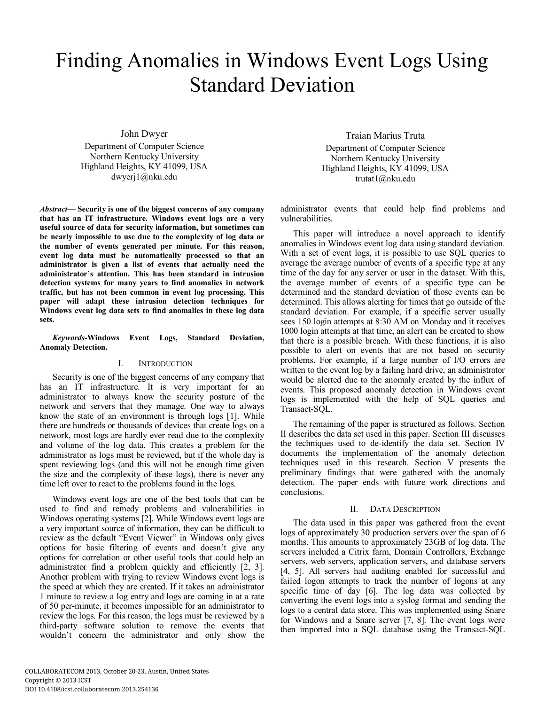# Finding Anomalies in Windows Event Logs Using Standard Deviation

John Dwyer

Department of Computer Science Northern Kentucky University Highland Heights, KY 41099, USA dwyerj1@nku.edu

*Abstract***— Security is one of the biggest concerns of any company that has an IT infrastructure. Windows event logs are a very useful source of data for security information, but sometimes can be nearly impossible to use due to the complexity of log data or the number of events generated per minute. For this reason, event log data must be automatically processed so that an administrator is given a list of events that actually need the administrator's attention. This has been standard in intrusion detection systems for many years to find anomalies in network traffic, but has not been common in event log processing. This paper will adapt these intrusion detection techniques for Windows event log data sets to find anomalies in these log data sets.**

*Keywords-***Windows Event Logs, Standard Deviation, Anomaly Detection.**

## I. INTRODUCTION

Security is one of the biggest concerns of any company that has an IT infrastructure. It is very important for an administrator to always know the security posture of the network and servers that they manage. One way to always know the state of an environment is through logs [1]. While there are hundreds or thousands of devices that create logs on a network, most logs are hardly ever read due to the complexity and volume of the log data. This creates a problem for the administrator as logs must be reviewed, but if the whole day is spent reviewing logs (and this will not be enough time given the size and the complexity of these logs), there is never any time left over to react to the problems found in the logs.

Windows event logs are one of the best tools that can be used to find and remedy problems and vulnerabilities in Windows operating systems [2]. While Windows event logs are a very important source of information, they can be difficult to review as the default "Event Viewer" in Windows only gives options for basic filtering of events and doesn't give any options for correlation or other useful tools that could help an administrator find a problem quickly and efficiently [2, 3]. Another problem with trying to review Windows event logs is the speed at which they are created. If it takes an administrator 1 minute to review a log entry and logs are coming in at a rate of 50 per-minute, it becomes impossible for an administrator to review the logs. For this reason, the logs must be reviewed by a third-party software solution to remove the events that wouldn't concern the administrator and only show the

Traian Marius Truta Department of Computer Science Northern Kentucky University Highland Heights, KY 41099, USA trutat1@nku.edu

administrator events that could help find problems and vulnerabilities.

This paper will introduce a novel approach to identify anomalies in Windows event log data using standard deviation. With a set of event logs, it is possible to use SQL queries to average the average number of events of a specific type at any time of the day for any server or user in the dataset. With this, the average number of events of a specific type can be determined and the standard deviation of those events can be determined. This allows alerting for times that go outside of the standard deviation. For example, if a specific server usually sees 150 login attempts at 8:30 AM on Monday and it receives 1000 login attempts at that time, an alert can be created to show that there is a possible breach. With these functions, it is also possible to alert on events that are not based on security problems. For example, if a large number of I/O errors are written to the event log by a failing hard drive, an administrator would be alerted due to the anomaly created by the influx of events. This proposed anomaly detection in Windows event logs is implemented with the help of SQL queries and Transact-SQL.

The remaining of the paper is structured as follows. Section II describes the data set used in this paper. Section III discusses the techniques used to de-identify the data set. Section IV documents the implementation of the anomaly detection techniques used in this research. Section V presents the preliminary findings that were gathered with the anomaly detection. The paper ends with future work directions and conclusions.

## II. DATA DESCRIPTION

The data used in this paper was gathered from the event logs of approximately 30 production servers over the span of 6 months. This amounts to approximately 23GB of log data. The servers included a Citrix farm, Domain Controllers, Exchange servers, web servers, application servers, and database servers [4, 5]. All servers had auditing enabled for successful and failed logon attempts to track the number of logons at any specific time of day [6]. The log data was collected by converting the event logs into a syslog format and sending the logs to a central data store. This was implemented using Snare for Windows and a Snare server [7, 8]. The event logs were then imported into a SQL database using the Transact-SQL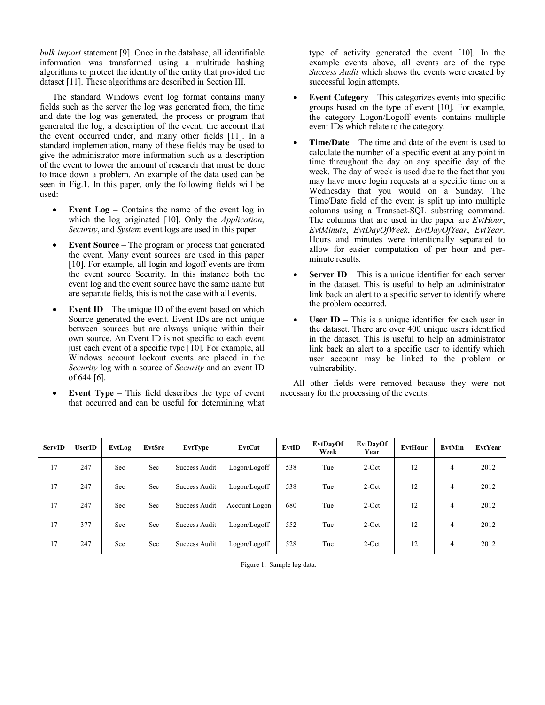*bulk import* statement [9]. Once in the database, all identifiable information was transformed using a multitude hashing algorithms to protect the identity of the entity that provided the dataset [11]. These algorithms are described in Section III.

The standard Windows event log format contains many fields such as the server the log was generated from, the time and date the log was generated, the process or program that generated the log, a description of the event, the account that the event occurred under, and many other fields [11]. In a standard implementation, many of these fields may be used to give the administrator more information such as a description of the event to lower the amount of research that must be done to trace down a problem. An example of the data used can be seen in Fig.1. In this paper, only the following fields will be used:

- **Event Log** Contains the name of the event log in which the log originated [10]. Only the *Application*, *Security*, and *System* event logs are used in this paper.
- **Event Source** The program or process that generated the event. Many event sources are used in this paper [10]. For example, all login and logoff events are from the event source Security. In this instance both the event log and the event source have the same name but are separate fields, this is not the case with all events.
- **Event ID** The unique ID of the event based on which Source generated the event. Event IDs are not unique between sources but are always unique within their own source. An Event ID is not specific to each event just each event of a specific type [10]. For example, all Windows account lockout events are placed in the *Security* log with a source of *Security* and an event ID of 644 [6].
- **Event Type** This field describes the type of event that occurred and can be useful for determining what

type of activity generated the event [10]. In the example events above, all events are of the type *Success Audit* which shows the events were created by successful login attempts.

- **Event Category** This categorizes events into specific groups based on the type of event [10]. For example, the category Logon/Logoff events contains multiple event IDs which relate to the category.
- **Time/Date** The time and date of the event is used to calculate the number of a specific event at any point in time throughout the day on any specific day of the week. The day of week is used due to the fact that you may have more login requests at a specific time on a Wednesday that you would on a Sunday. The Time/Date field of the event is split up into multiple columns using a Transact-SQL substring command. The columns that are used in the paper are *EvtHour*, *EvtMinute*, *EvtDayOfWeek*, *EvtDayOfYear*, *EvtYear*. Hours and minutes were intentionally separated to allow for easier computation of per hour and perminute results.
- **Server ID** This is a unique identifier for each server in the dataset. This is useful to help an administrator link back an alert to a specific server to identify where the problem occurred.
- **User ID** This is a unique identifier for each user in the dataset. There are over 400 unique users identified in the dataset. This is useful to help an administrator link back an alert to a specific user to identify which user account may be linked to the problem or vulnerability.

All other fields were removed because they were not necessary for the processing of the events.

| <b>ServID</b> | <b>UserID</b> | EvtLog | EvtSrc | EvtType       | EvtCat        | EvtID | EvtDayOf<br>Week | EvtDayOf<br>Year | EvtHour | EvtMin         | EvtYear |
|---------------|---------------|--------|--------|---------------|---------------|-------|------------------|------------------|---------|----------------|---------|
| 17            | 247           | Sec    | Sec    | Success Audit | Logon/Logoff  | 538   | Tue              | $2$ -Oct         | 12      | $\overline{4}$ | 2012    |
| 17            | 247           | Sec    | Sec    | Success Audit | Logon/Logoff  | 538   | Tue              | $2$ -Oct         | 12      | $\overline{4}$ | 2012    |
| 17            | 247           | Sec    | Sec    | Success Audit | Account Logon | 680   | Tue              | $2$ -Oct         | 12      | 4              | 2012    |
| 17            | 377           | Sec    | Sec    | Success Audit | Logon/Logoff  | 552   | Tue              | $2$ -Oct         | 12      | $\overline{4}$ | 2012    |
| 17            | 247           | Sec    | Sec    | Success Audit | Logon/Logoff  | 528   | Tue              | $2$ -Oct         | 12      | $\overline{4}$ | 2012    |

Figure 1. Sample log data.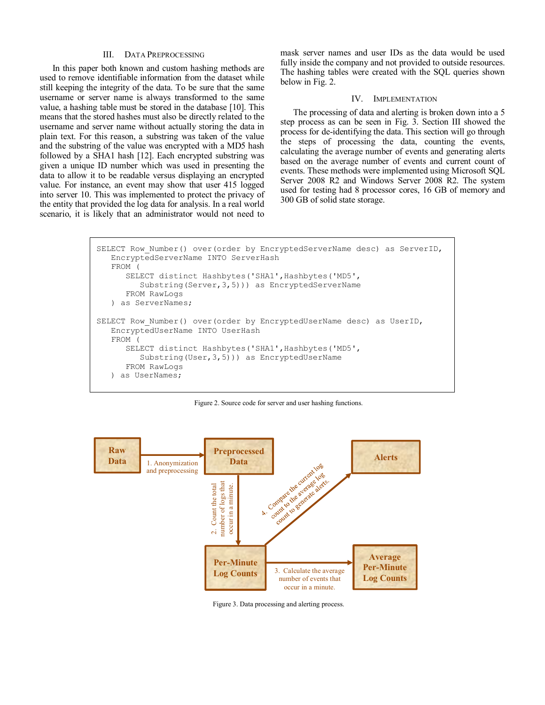### III. DATA PREPROCESSING

In this paper both known and custom hashing methods are used to remove identifiable information from the dataset while still keeping the integrity of the data. To be sure that the same username or server name is always transformed to the same value, a hashing table must be stored in the database [10]. This means that the stored hashes must also be directly related to the username and server name without actually storing the data in plain text. For this reason, a substring was taken of the value and the substring of the value was encrypted with a MD5 hash followed by a SHA1 hash [12]. Each encrypted substring was given a unique ID number which was used in presenting the data to allow it to be readable versus displaying an encrypted value. For instance, an event may show that user 415 logged into server 10. This was implemented to protect the privacy of the entity that provided the log data for analysis. In a real world scenario, it is likely that an administrator would not need to

mask server names and user IDs as the data would be used fully inside the company and not provided to outside resources. The hashing tables were created with the SQL queries shown below in Fig. 2.

#### IV. IMPLEMENTATION

The processing of data and alerting is broken down into a 5 step process as can be seen in Fig. 3. Section III showed the process for de-identifying the data. This section will go through the steps of processing the data, counting the events, calculating the average number of events and generating alerts based on the average number of events and current count of events. These methods were implemented using Microsoft SQL Server 2008 R2 and Windows Server 2008 R2. The system used for testing had 8 processor cores, 16 GB of memory and 300 GB of solid state storage.

```
SELECT Row Number() over(order by EncryptedServerName desc) as ServerID,
    EncryptedServerName INTO ServerHash 
    FROM (
      SELECT distinct Hashbytes('SHA1', Hashbytes('MD5',
          Substring(Server,3,5))) as EncryptedServerName 
       FROM RawLogs
    ) as ServerNames;
SELECT Row Number() over(order by EncryptedUserName desc) as UserID,
    EncryptedUserName INTO UserHash 
    FROM (
      SELECT distinct Hashbytes('SHA1', Hashbytes('MD5',
          Substring(User,3,5))) as EncryptedUserName 
       FROM RawLogs
    ) as UserNames;
```
Figure 2. Source code for server and user hashing functions.



Figure 3. Data processing and alerting process.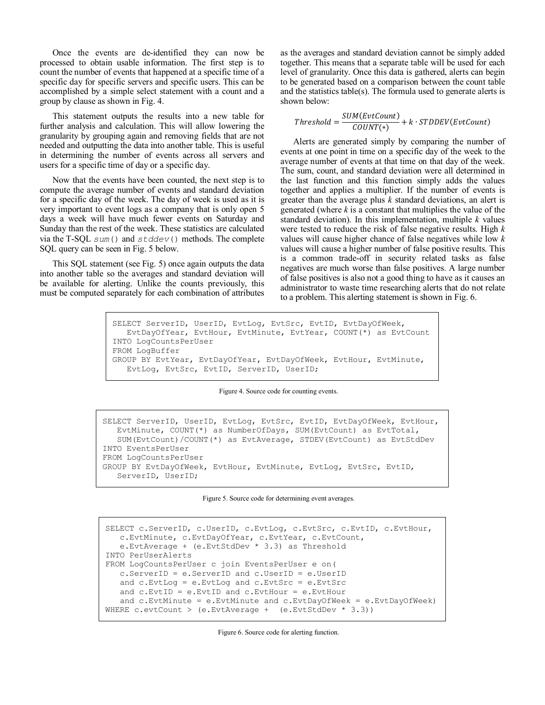Once the events are de-identified they can now be processed to obtain usable information. The first step is to count the number of events that happened at a specific time of a specific day for specific servers and specific users. This can be accomplished by a simple select statement with a count and a group by clause as shown in Fig. 4.

This statement outputs the results into a new table for further analysis and calculation. This will allow lowering the granularity by grouping again and removing fields that are not needed and outputting the data into another table. This is useful in determining the number of events across all servers and users for a specific time of day or a specific day.

Now that the events have been counted, the next step is to compute the average number of events and standard deviation for a specific day of the week. The day of week is used as it is very important to event logs as a company that is only open 5 days a week will have much fewer events on Saturday and Sunday than the rest of the week. These statistics are calculated via the T-SQL *sum*() and *stddev*() methods. The complete SQL query can be seen in Fig. 5 below.

This SQL statement (see Fig. 5) once again outputs the data into another table so the averages and standard deviation will be available for alerting. Unlike the counts previously, this must be computed separately for each combination of attributes

as the averages and standard deviation cannot be simply added together. This means that a separate table will be used for each level of granularity. Once this data is gathered, alerts can begin to be generated based on a comparison between the count table and the statistics table(s). The formula used to generate alerts is shown below:

$$
Threshold = \frac{SUM(EvtCount)}{COUNT(*)} + k \cdot STDDEV(EvtCount)
$$

Alerts are generated simply by comparing the number of events at one point in time on a specific day of the week to the average number of events at that time on that day of the week. The sum, count, and standard deviation were all determined in the last function and this function simply adds the values together and applies a multiplier. If the number of events is greater than the average plus *k* standard deviations, an alert is generated (where *k* is a constant that multiplies the value of the standard deviation). In this implementation, multiple *k* values were tested to reduce the risk of false negative results. High *k* values will cause higher chance of false negatives while low *k* values will cause a higher number of false positive results. This is a common trade-off in security related tasks as false negatives are much worse than false positives. A large number of false positives is also not a good thing to have as it causes an administrator to waste time researching alerts that do not relate to a problem. This alerting statement is shown in Fig. 6.

```
SELECT ServerID, UserID, EvtLog, EvtSrc, EvtID, EvtDayOfWeek, 
    EvtDayOfYear, EvtHour, EvtMinute, EvtYear, COUNT(*) as EvtCount
INTO LogCountsPerUser
FROM LogBuffer
GROUP BY EvtYear, EvtDayOfYear, EvtDayOfWeek, EvtHour, EvtMinute, 
    EvtLog, EvtSrc, EvtID, ServerID, UserID;
```
Figure 4. Source code for counting events.

SELECT ServerID, UserID, EvtLog, EvtSrc, EvtID, EvtDayOfWeek, EvtHour, EvtMinute, COUNT(\*) as NumberOfDays, SUM(EvtCount) as EvtTotal, SUM(EvtCount)/COUNT(\*) as EvtAverage, STDEV(EvtCount) as EvtStdDev INTO EventsPerUser FROM LogCountsPerUser GROUP BY EvtDayOfWeek, EvtHour, EvtMinute, EvtLog, EvtSrc, EvtID, ServerID, UserID;

Figure 5. Source code for determining event averages.

```
SELECT c.ServerID, c.UserID, c.EvtLog, c.EvtSrc, c.EvtID, c.EvtHour, 
   c.EvtMinute, c.EvtDayOfYear, c.EvtYear, c.EvtCount,
   e.EvtAverage + (e.EvtStdDev * 3.3) as Threshold
INTO PerUserAlerts
FROM LogCountsPerUser c join EventsPerUser e on( 
   c.ServerID = e.ServerID and c.UserID = e.UserID 
    and c.EvtLog = e.EvtLog and c.EvtSrc = e.EvtSrc 
   and c.EvtID = e.EvtID and c.EvtHour = e.EvtHourand c.EvtMinute = e.EvtMinute and c.EvtDayOfWeek = e.EvtDayOfWeek)WHERE c.evtCount > (e.EvtAverage + (e.EvtStdDev * 3.3))
```
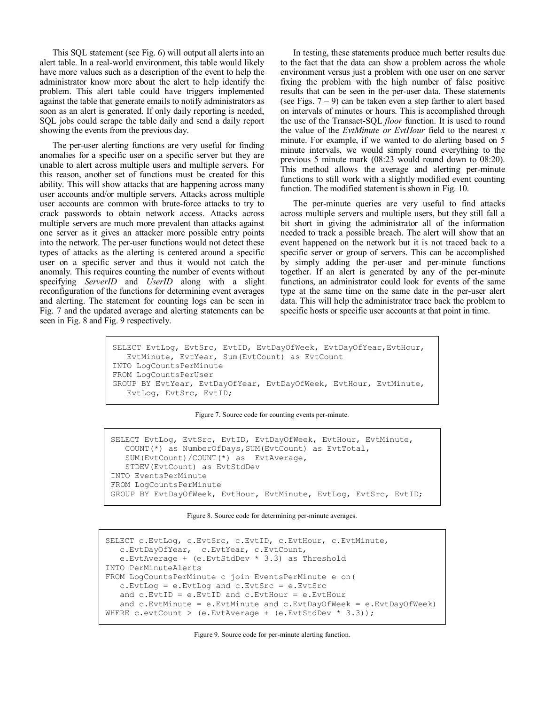This SQL statement (see Fig. 6) will output all alerts into an alert table. In a real-world environment, this table would likely have more values such as a description of the event to help the administrator know more about the alert to help identify the problem. This alert table could have triggers implemented against the table that generate emails to notify administrators as soon as an alert is generated. If only daily reporting is needed, SQL jobs could scrape the table daily and send a daily report showing the events from the previous day.

The per-user alerting functions are very useful for finding anomalies for a specific user on a specific server but they are unable to alert across multiple users and multiple servers. For this reason, another set of functions must be created for this ability. This will show attacks that are happening across many user accounts and/or multiple servers. Attacks across multiple user accounts are common with brute-force attacks to try to crack passwords to obtain network access. Attacks across multiple servers are much more prevalent than attacks against one server as it gives an attacker more possible entry points into the network. The per-user functions would not detect these types of attacks as the alerting is centered around a specific user on a specific server and thus it would not catch the anomaly. This requires counting the number of events without specifying *ServerID* and *UserID* along with a slight reconfiguration of the functions for determining event averages and alerting. The statement for counting logs can be seen in Fig. 7 and the updated average and alerting statements can be seen in Fig. 8 and Fig. 9 respectively.

In testing, these statements produce much better results due to the fact that the data can show a problem across the whole environment versus just a problem with one user on one server fixing the problem with the high number of false positive results that can be seen in the per-user data. These statements (see Figs.  $7 - 9$ ) can be taken even a step farther to alert based on intervals of minutes or hours. This is accomplished through the use of the Transact-SQL *floor* function. It is used to round the value of the *EvtMinute or EvtHour* field to the nearest *x* minute. For example, if we wanted to do alerting based on 5 minute intervals, we would simply round everything to the previous 5 minute mark (08:23 would round down to 08:20). This method allows the average and alerting per-minute functions to still work with a slightly modified event counting function. The modified statement is shown in Fig. 10.

The per-minute queries are very useful to find attacks across multiple servers and multiple users, but they still fall a bit short in giving the administrator all of the information needed to track a possible breach. The alert will show that an event happened on the network but it is not traced back to a specific server or group of servers. This can be accomplished by simply adding the per-user and per-minute functions together. If an alert is generated by any of the per-minute functions, an administrator could look for events of the same type at the same time on the same date in the per-user alert data. This will help the administrator trace back the problem to specific hosts or specific user accounts at that point in time.

```
SELECT EvtLog, EvtSrc, EvtID, EvtDayOfWeek, EvtDayOfYear,EvtHour, 
   EvtMinute, EvtYear, Sum(EvtCount) as EvtCount
INTO LogCountsPerMinute
FROM LogCountsPerUser
GROUP BY EvtYear, EvtDayOfYear, EvtDayOfWeek, EvtHour, EvtMinute, 
    EvtLog, EvtSrc, EvtID;
```
Figure 7. Source code for counting events per-minute.

```
SELECT EvtLog, EvtSrc, EvtID, EvtDayOfWeek, EvtHour, EvtMinute,
   COUNT(*) as NumberOfDays,SUM(EvtCount) as EvtTotal,
    SUM(EvtCount)/COUNT(*) as EvtAverage,
   STDEV(EvtCount) as EvtStdDev
INTO EventsPerMinute
FROM LogCountsPerMinute
GROUP BY EvtDayOfWeek, EvtHour, EvtMinute, EvtLog, EvtSrc, EvtID;
```
Figure 8. Source code for determining per-minute averages.

```
SELECT c.EvtLog, c.EvtSrc, c.EvtID, c.EvtHour, c.EvtMinute, 
    c.EvtDayOfYear, c.EvtYear, c.EvtCount, 
   e.EvtAverage + (e.EvtStdDev * 3.3) as Threshold
INTO PerMinuteAlerts
FROM LogCountsPerMinute c join EventsPerMinute e on(
   c.EvtLog = e.EvtLog and c.EvtSrc = e.EvtSrc 
   and c.EvtID = e.EvtID and c.EvtHour = e.EvtHourand c.EvtMinute = e.EvtMinute and c.EvtDayOfWeek = e.EvtDayOfWeek)WHERE c.evtCount > (e.EvtAverage + (e.EvtStdDev * 3.3));
```
Figure 9. Source code for per-minute alerting function.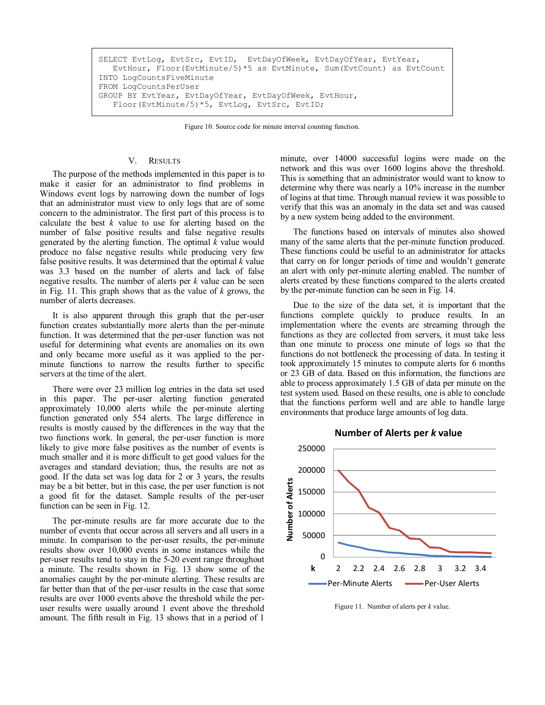```
SELECT EvtLog, EvtSrc, EvtID, EvtDayOfWeek, EvtDayOfYear, EvtYear, 
   EvtHour, Floor(EvtMinute/5)*5 as EvtMinute, Sum(EvtCount) as EvtCount
INTO LogCountsFiveMinute
FROM LogCountsPerUser
GROUP BY EvtYear, EvtDayOfYear, EvtDayOfWeek, EvtHour, 
  Floor(EvtMinute/5)*5, EvtLog, EvtSrc, EvtID;
```
Figure 10. Source code for minute interval counting function.

## V. RESULTS

The purpose of the methods implemented in this paper is to make it easier for an administrator to find problems in Windows event logs by narrowing down the number of logs that an administrator must view to only logs that are of some concern to the administrator. The first part of this process is to calculate the best *k* value to use for alerting based on the number of false positive results and false negative results generated by the alerting function. The optimal *k* value would produce no false negative results while producing very few false positive results. It was determined that the optimal *k* value was 3.3 based on the number of alerts and lack of false negative results. The number of alerts per *k* value can be seen in Fig. 11. This graph shows that as the value of *k* grows, the number of alerts decreases.

It is also apparent through this graph that the per-user function creates substantially more alerts than the per-minute function. It was determined that the per-user function was not useful for determining what events are anomalies on its own and only became more useful as it was applied to the perminute functions to narrow the results further to specific servers at the time of the alert.

There were over 23 million log entries in the data set used in this paper. The per-user alerting function generated approximately 10,000 alerts while the per-minute alerting function generated only 554 alerts. The large difference in results is mostly caused by the differences in the way that the two functions work. In general, the per-user function is more likely to give more false positives as the number of events is much smaller and it is more difficult to get good values for the averages and standard deviation; thus, the results are not as good. If the data set was log data for 2 or 3 years, the results may be a bit better, but in this case, the per user function is not a good fit for the dataset. Sample results of the per-user function can be seen in Fig. 12.

The per-minute results are far more accurate due to the number of events that occur across all servers and all users in a minute. In comparison to the per-user results, the per-minute results show over 10,000 events in some instances while the per-user results tend to stay in the 5-20 event range throughout a minute. The results shown in Fig. 13 show some of the anomalies caught by the per-minute alerting. These results are far better than that of the per-user results in the case that some results are over 1000 events above the threshold while the peruser results were usually around 1 event above the threshold amount. The fifth result in Fig. 13 shows that in a period of 1

minute, over 14000 successful logins were made on the network and this was over 1600 logins above the threshold. This is something that an administrator would want to know to determine why there was nearly a 10% increase in the number of logins at that time. Through manual review it was possible to verify that this was an anomaly in the data set and was caused by a new system being added to the environment.

The functions based on intervals of minutes also showed many of the same alerts that the per-minute function produced. These functions could be useful to an administrator for attacks that carry on for longer periods of time and wouldn't generate an alert with only per-minute alerting enabled. The number of alerts created by these functions compared to the alerts created by the per-minute function can be seen in Fig. 14.

Due to the size of the data set, it is important that the functions complete quickly to produce results. In an implementation where the events are streaming through the functions as they are collected from servers, it must take less than one minute to process one minute of logs so that the functions do not bottleneck the processing of data. In testing it took approximately 15 minutes to compute alerts for 6 months or 23 GB of data. Based on this information, the functions are able to process approximately 1.5 GB of data per minute on the test system used. Based on these results, one is able to conclude that the functions perform well and are able to handle large environments that produce large amounts of log data.



**Number of Alerts per** *k* **value**

Figure 11. Number of alerts per *k* value.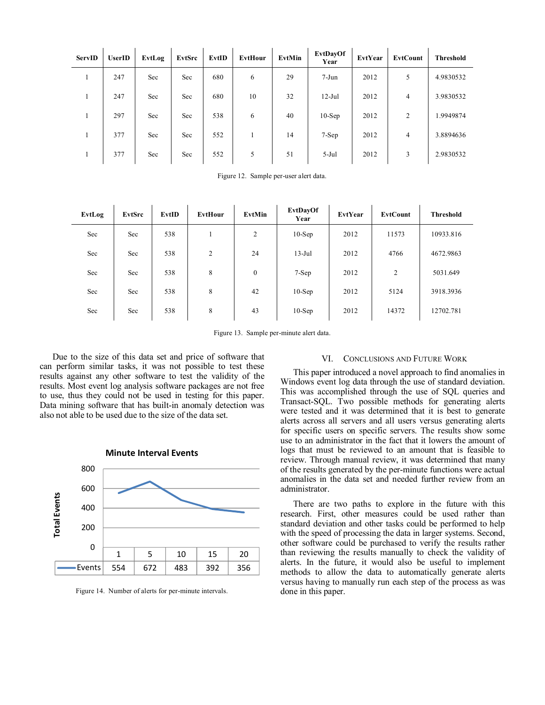| ServID | <b>UserID</b> | EvtLog | EvtSrc | EvtID | EvtHour | EvtMin | <b>EvtDayOf</b><br>Year | EvtYear | <b>EvtCount</b> | <b>Threshold</b> |
|--------|---------------|--------|--------|-------|---------|--------|-------------------------|---------|-----------------|------------------|
|        | 247           | Sec    | Sec    | 680   | 6       | 29     | $7-Jun$                 | 2012    | 5               | 4.9830532        |
|        | 247           | Sec    | Sec    | 680   | 10      | 32     | $12-Jul$                | 2012    | $\overline{4}$  | 3.9830532        |
|        | 297           | Sec    | Sec    | 538   | 6       | 40     | $10-Sep$                | 2012    | $\overline{c}$  | 1.9949874        |
|        | 377           | Sec    | Sec    | 552   |         | 14     | 7-Sep                   | 2012    | $\overline{4}$  | 3.8894636        |
|        | 377           | Sec    | Sec    | 552   | 5       | 51     | $5-Jul$                 | 2012    | 3               | 2.9830532        |

Figure 12. Sample per-user alert data.

| EvtLog | EvtSrc | EvtID | <b>EvtHour</b> | EvtMin           | EvtDayOf<br>Year | EvtYear | <b>EvtCount</b> | <b>Threshold</b> |
|--------|--------|-------|----------------|------------------|------------------|---------|-----------------|------------------|
| Sec    | Sec    | 538   |                | $\overline{c}$   | $10-$ Sep        | 2012    | 11573           | 10933.816        |
| Sec    | Sec    | 538   | $\overline{2}$ | 24               | $13$ -Jul        | 2012    | 4766            | 4672.9863        |
| Sec    | Sec    | 538   | 8              | $\boldsymbol{0}$ | 7-Sep            | 2012    | $\overline{c}$  | 5031.649         |
| Sec    | Sec    | 538   | 8              | 42               | $10-Sep$         | 2012    | 5124            | 3918.3936        |
| Sec    | Sec    | 538   | 8              | 43               | $10-Sep$         | 2012    | 14372           | 12702.781        |

Figure 13. Sample per-minute alert data.

Due to the size of this data set and price of software that can perform similar tasks, it was not possible to test these results against any other software to test the validity of the results. Most event log analysis software packages are not free to use, thus they could not be used in testing for this paper. Data mining software that has built-in anomaly detection was also not able to be used due to the size of the data set.



Figure 14. Number of alerts for per-minute intervals.

#### VI. CONCLUSIONS AND FUTURE WORK

This paper introduced a novel approach to find anomalies in Windows event log data through the use of standard deviation. This was accomplished through the use of SQL queries and Transact-SQL. Two possible methods for generating alerts were tested and it was determined that it is best to generate alerts across all servers and all users versus generating alerts for specific users on specific servers. The results show some use to an administrator in the fact that it lowers the amount of logs that must be reviewed to an amount that is feasible to review. Through manual review, it was determined that many of the results generated by the per-minute functions were actual anomalies in the data set and needed further review from an administrator.

There are two paths to explore in the future with this research. First, other measures could be used rather than standard deviation and other tasks could be performed to help with the speed of processing the data in larger systems. Second, other software could be purchased to verify the results rather than reviewing the results manually to check the validity of alerts. In the future, it would also be useful to implement methods to allow the data to automatically generate alerts versus having to manually run each step of the process as was done in this paper.